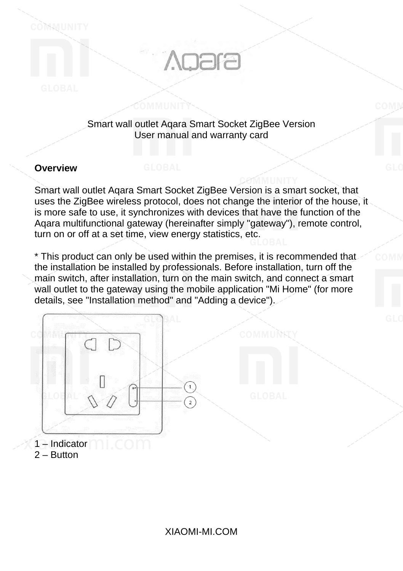# **Agara**

### Smart wall outlet Aqara Smart Socket ZigBee Version User manual and warranty card

# **Overview**

COMMUNITY

Smart wall outlet Aqara Smart Socket ZigBee Version is a smart socket, that uses the ZigBee wireless protocol, does not change the interior of the house, it is more safe to use, it synchronizes with devices that have the function of the Aqara multifunctional gateway (hereinafter simply "gateway"), remote control, turn on or off at a set time, view energy statistics, etc.

\* This product can only be used within the premises, it is recommended that the installation be installed by professionals. Before installation, turn off the main switch, after installation, turn on the main switch, and connect a smart wall outlet to the gateway using the mobile application "Mi Home" (for more details, see "Installation method" and "Adding a device").

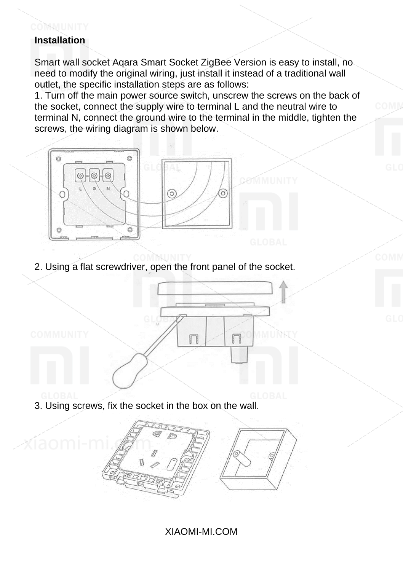# COMMUNITY **Installation**

Smart wall socket Aqara Smart Socket ZigBee Version is easy to install, no need to modify the original wiring, just install it instead of a traditional wall outlet, the specific installation steps are as follows:

1. Turn off the main power source switch, unscrew the screws on the back of the socket, connect the supply wire to terminal L and the neutral wire to terminal N, connect the ground wire to the terminal in the middle, tighten the screws, the wiring diagram is shown below.



2. Using a flat screwdriver, open the front panel of the socket.



3. Using screws, fix the socket in the box on the wall.



# XIAOMI-MI.COM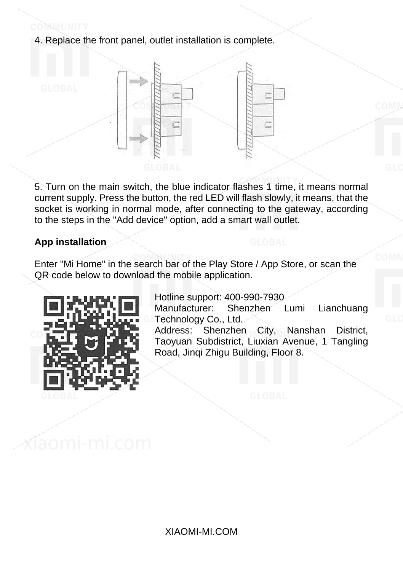4. Replace the front panel, outlet installation is complete.



5. Turn on the main switch, the blue indicator flashes 1 time, it means normal current supply. Press the button, the red LED will flash slowly, it means, that the socket is working in normal mode, after connecting to the gateway, according to the steps in the "Add device" option, add a smart wall outlet.

### **App installation**

Enter "Mi Home" in the search bar of the Play Store / App Store, or scan the QR code below to download the mobile application.



Hotline support: 400-990-7930 Lianchuang Technology Co., Ltd.

Address: Shenzhen City, Nanshan District, Taoyuan Subdistrict, Liuxian Avenue, 1 Tangling Road, Jinqi Zhigu Building, Floor 8.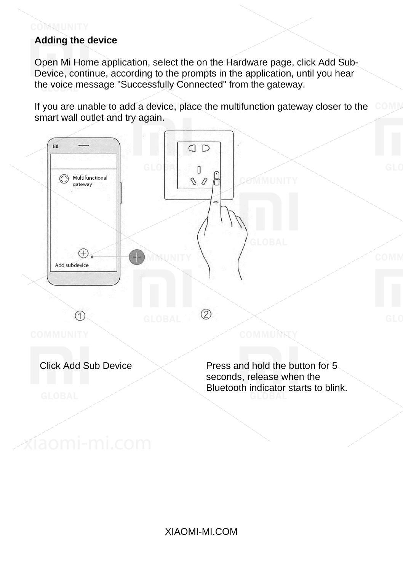# **Adding the device**

xíaomi-mi.com

COMMUNITY

Open Mi Home application, select the on the Hardware page, click Add Sub-Device, continue, according to the prompts in the application, until you hear the voice message "Successfully Connected" from the gateway.

If you are unable to add a device, place the multifunction gateway closer to the smart wall outlet and try again.

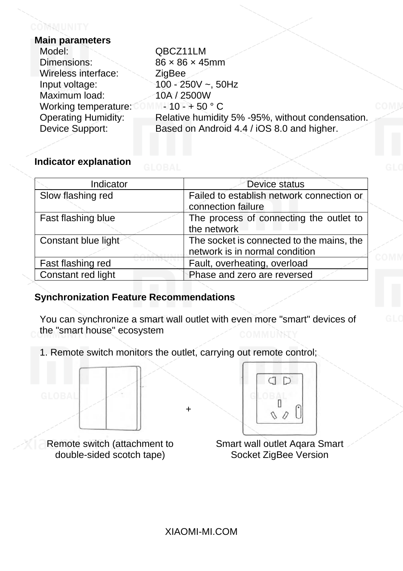| Main parameters      |                                                  |
|----------------------|--------------------------------------------------|
| Model:               | QBCZ11LM                                         |
| Dimensions:          | $86 \times 86 \times 45$ mm                      |
| Wireless interface:  | ZigBee                                           |
| Input voltage:       | $100 - 250V - 50Hz$                              |
| Maximum load:        | 10A / 2500W                                      |
| Working temperature: | $-10 - +50$ ° C                                  |
| Operating Humidity:  | Relative humidity 5% -95%, without condensation. |
| Device Support:      | Based on Android 4.4 / iOS 8.0 and higher.       |
|                      |                                                  |

# **Indicator explanation**

| Indicator           | Device status<br>Failed to establish network connection or<br>connection failure |  |  |  |
|---------------------|----------------------------------------------------------------------------------|--|--|--|
| Slow flashing red   |                                                                                  |  |  |  |
| Fast flashing blue  | The process of connecting the outlet to<br>the network                           |  |  |  |
| Constant blue light | The socket is connected to the mains, the<br>network is in normal condition      |  |  |  |
| Fast flashing red   | Fault, overheating, overload                                                     |  |  |  |
| Constant red light  | Phase and zero are reversed                                                      |  |  |  |

# **Synchronization Feature Recommendations**

You can synchronize a smart wall outlet with even more "smart" devices of the "smart house" ecosystem

1. Remote switch monitors the outlet, carrying out remote control;

+



Remote switch (attachment to double-sided scotch tape)



Smart wall outlet Aqara Smart Socket ZigBee Version